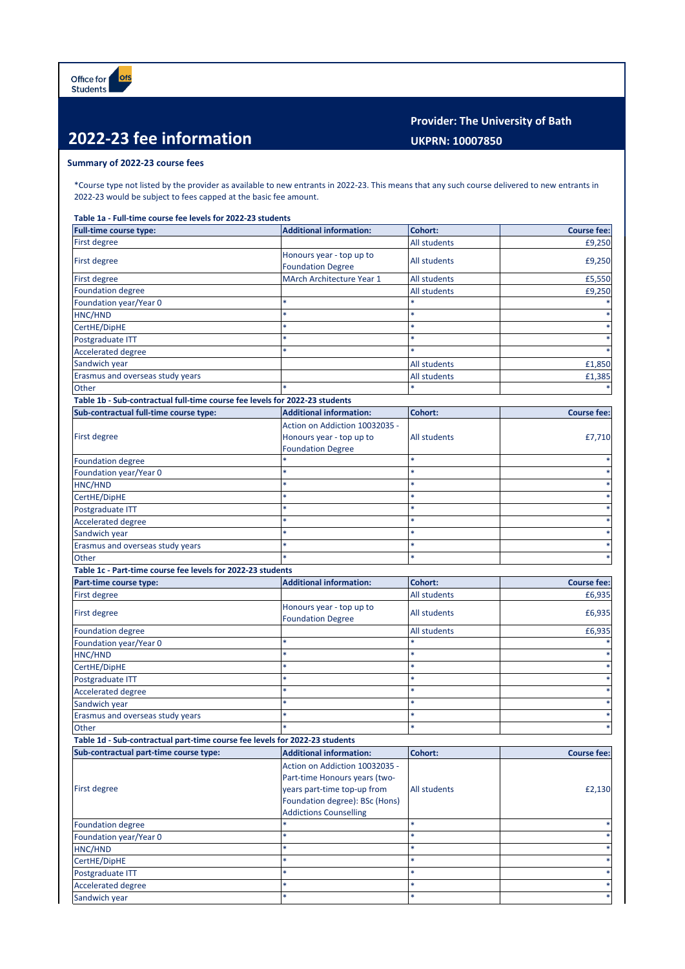## **2022-23 fee information**

## **Provider: The University of Bath UKPRN: 10007850**

## **Summary of 2022-23 course fees**

\*Course type not listed by the provider as available to new entrants in 2022-23. This means that any such course delivered to new entrants in 2022-23 would be subject to fees capped at the basic fee amount.

**Table 1a - Full-time course fee levels for 2022-23 students**

| Full-time course type:                                                      | <b>Additional information:</b>                                                                 | Cohort:             | <b>Course fee:</b> |
|-----------------------------------------------------------------------------|------------------------------------------------------------------------------------------------|---------------------|--------------------|
| First degree                                                                |                                                                                                | All students        | £9.250             |
| First degree                                                                | Honours year - top up to<br><b>Foundation Degree</b>                                           | <b>All students</b> | £9,250             |
| First degree                                                                | MArch Architecture Year 1                                                                      | All students        | £5,550             |
| <b>Foundation degree</b>                                                    |                                                                                                | <b>All students</b> | £9,250             |
| Foundation year/Year 0                                                      |                                                                                                |                     |                    |
| HNC/HND                                                                     |                                                                                                |                     |                    |
| CertHE/DipHE                                                                |                                                                                                |                     |                    |
| Postgraduate ITT                                                            |                                                                                                |                     |                    |
| <b>Accelerated degree</b>                                                   |                                                                                                |                     |                    |
| Sandwich year                                                               |                                                                                                | All students        | £1,850             |
| Erasmus and overseas study years                                            |                                                                                                | All students        | £1,385             |
| Other                                                                       |                                                                                                |                     |                    |
| Table 1b - Sub-contractual full-time course fee levels for 2022-23 students |                                                                                                |                     |                    |
| Sub-contractual full-time course type:                                      | <b>Additional information:</b>                                                                 | <b>Cohort:</b>      | <b>Course fee:</b> |
| First degree                                                                | Action on Addiction 10032035 -<br>Honours year - top up to<br><b>Foundation Degree</b>         | All students        | £7,710             |
| <b>Foundation degree</b>                                                    |                                                                                                | $\ast$              |                    |
| Foundation year/Year 0                                                      |                                                                                                |                     |                    |
| HNC/HND                                                                     |                                                                                                |                     |                    |
| CertHE/DipHE                                                                |                                                                                                |                     |                    |
| Postgraduate ITT                                                            |                                                                                                |                     |                    |
| <b>Accelerated degree</b>                                                   |                                                                                                |                     |                    |
| Sandwich year                                                               |                                                                                                |                     |                    |
| Erasmus and overseas study years                                            |                                                                                                | ×                   |                    |
| Other                                                                       |                                                                                                |                     |                    |
| Table 1c - Part-time course fee levels for 2022-23 students                 |                                                                                                |                     |                    |
| Part-time course type:                                                      | <b>Additional information:</b>                                                                 | Cohort:             | <b>Course fee:</b> |
| First degree                                                                |                                                                                                | All students        | £6,935             |
| First degree                                                                | Honours year - top up to<br><b>Foundation Degree</b>                                           | All students        | £6,935             |
| <b>Foundation degree</b>                                                    |                                                                                                | All students        | £6,935             |
| Foundation year/Year 0                                                      |                                                                                                |                     |                    |
| HNC/HND                                                                     |                                                                                                |                     |                    |
| CertHE/DipHE                                                                |                                                                                                |                     |                    |
| Postgraduate ITT                                                            |                                                                                                |                     |                    |
| <b>Accelerated degree</b>                                                   |                                                                                                |                     |                    |
| Sandwich year                                                               |                                                                                                |                     |                    |
| Erasmus and overseas study years                                            |                                                                                                | *                   |                    |
| Other                                                                       |                                                                                                |                     |                    |
| Table 1d - Sub-contractual part-time course fee levels for 2022-23 students |                                                                                                |                     |                    |
| Sub-contractual part-time course type:                                      | <b>Additional information:</b>                                                                 | Cohort:             | <b>Course fee:</b> |
|                                                                             | Action on Addiction 10032035 -                                                                 |                     |                    |
|                                                                             | Part-time Honours years (two-                                                                  |                     |                    |
| First degree                                                                | years part-time top-up from<br>Foundation degree): BSc (Hons)<br><b>Addictions Counselling</b> | All students        | £2,130             |
| <b>Foundation degree</b>                                                    |                                                                                                |                     |                    |
| Foundation year/Year 0                                                      |                                                                                                | $\ast$              |                    |
| HNC/HND                                                                     |                                                                                                |                     |                    |
|                                                                             | *                                                                                              | *                   |                    |
| CertHE/DipHE                                                                |                                                                                                |                     |                    |
| Postgraduate ITT                                                            |                                                                                                |                     |                    |
| Accelerated degree<br>Sandwich year                                         | $\ast$                                                                                         | ×                   | *                  |
|                                                                             |                                                                                                |                     |                    |